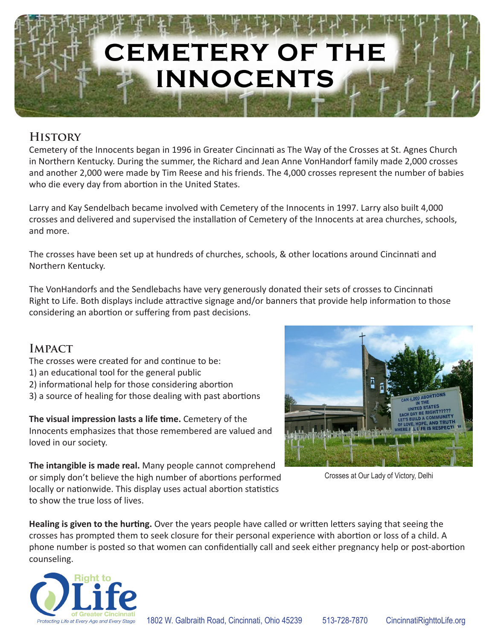# **CEMETERY OF THE INNOCENTS**

## **History**

Cemetery of the Innocents began in 1996 in Greater Cincinnati as The Way of the Crosses at St. Agnes Church in Northern Kentucky. During the summer, the Richard and Jean Anne VonHandorf family made 2,000 crosses and another 2,000 were made by Tim Reese and his friends. The 4,000 crosses represent the number of babies who die every day from abortion in the United States.

Larry and Kay Sendelbach became involved with Cemetery of the Innocents in 1997. Larry also built 4,000 crosses and delivered and supervised the installation of Cemetery of the Innocents at area churches, schools, and more.

The crosses have been set up at hundreds of churches, schools, & other locations around Cincinnati and Northern Kentucky.

The VonHandorfs and the Sendlebachs have very generously donated their sets of crosses to Cincinnati Right to Life. Both displays include attractive signage and/or banners that provide help information to those considering an abortion or suffering from past decisions.

## **Impact**

- The crosses were created for and continue to be:
- 1) an educational tool for the general public
- 2) informational help for those considering abortion
- 3) a source of healing for those dealing with past abortions

**The visual impression lasts a life time.** Cemetery of the Innocents emphasizes that those remembered are valued and loved in our society.

**The intangible is made real.** Many people cannot comprehend or simply don't believe the high number of abortions performed locally or nationwide. This display uses actual abortion statistics to show the true loss of lives.



Crosses at Our Lady of Victory, Delhi

**Healing is given to the hurting.** Over the years people have called or written letters saying that seeing the crosses has prompted them to seek closure for their personal experience with abortion or loss of a child. A phone number is posted so that women can confidentially call and seek either pregnancy help or post-abortion counseling.